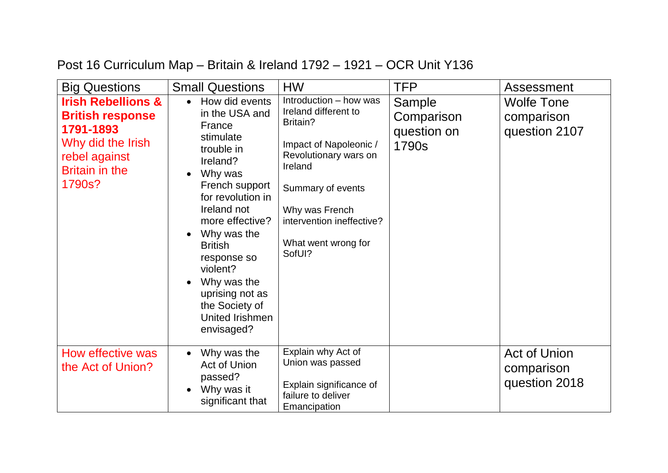## Post 16 Curriculum Map – Britain & Ireland 1792 – 1921 – OCR Unit Y136

| <b>Big Questions</b>                                                                                                                           | <b>Small Questions</b>                                                                                                                                                                                                                                                                                                 | <b>HW</b>                                                                                                                                                                                                                     | <b>TFP</b>                                   | Assessment                                         |
|------------------------------------------------------------------------------------------------------------------------------------------------|------------------------------------------------------------------------------------------------------------------------------------------------------------------------------------------------------------------------------------------------------------------------------------------------------------------------|-------------------------------------------------------------------------------------------------------------------------------------------------------------------------------------------------------------------------------|----------------------------------------------|----------------------------------------------------|
| <b>Irish Rebellions &amp;</b><br><b>British response</b><br>1791-1893<br>Why did the Irish<br>rebel against<br><b>Britain in the</b><br>1790s? | How did events<br>in the USA and<br>France<br>stimulate<br>trouble in<br>Ireland?<br>Why was<br>French support<br>for revolution in<br>Ireland not<br>more effective?<br>Why was the<br><b>British</b><br>response so<br>violent?<br>Why was the<br>uprising not as<br>the Society of<br>United Irishmen<br>envisaged? | Introduction - how was<br>Ireland different to<br>Britain?<br>Impact of Napoleonic /<br>Revolutionary wars on<br>Ireland<br>Summary of events<br>Why was French<br>intervention ineffective?<br>What went wrong for<br>SofUI? | Sample<br>Comparison<br>question on<br>1790s | <b>Wolfe Tone</b><br>comparison<br>question 2107   |
| How effective was<br>the Act of Union?                                                                                                         | Why was the<br>Act of Union<br>passed?<br>Why was it<br>significant that                                                                                                                                                                                                                                               | Explain why Act of<br>Union was passed<br>Explain significance of<br>failure to deliver<br>Emancipation                                                                                                                       |                                              | <b>Act of Union</b><br>comparison<br>question 2018 |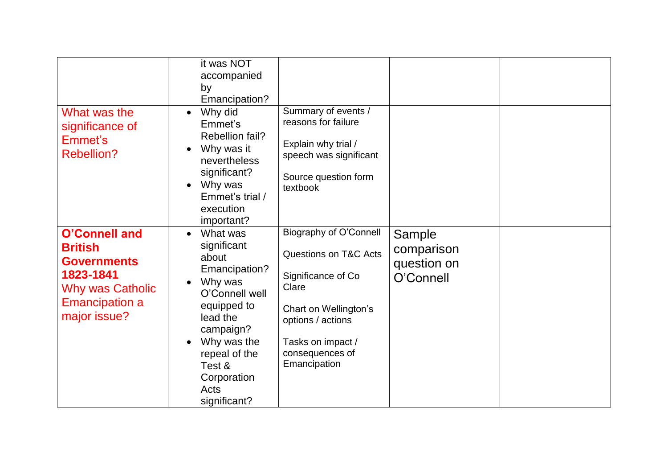|                                                                                                                                               | it was NOT<br>accompanied<br>by<br>Emancipation?                                                                                                                                                                     |                                                                                                                                                                                                        |                                                  |  |
|-----------------------------------------------------------------------------------------------------------------------------------------------|----------------------------------------------------------------------------------------------------------------------------------------------------------------------------------------------------------------------|--------------------------------------------------------------------------------------------------------------------------------------------------------------------------------------------------------|--------------------------------------------------|--|
| What was the<br>significance of<br>Emmet's<br><b>Rebellion?</b>                                                                               | Why did<br>$\bullet$<br>Emmet's<br>Rebellion fail?<br>Why was it<br>nevertheless<br>significant?<br>Why was<br>Emmet's trial /<br>execution<br>important?                                                            | Summary of events /<br>reasons for failure<br>Explain why trial /<br>speech was significant<br>Source question form<br>textbook                                                                        |                                                  |  |
| <b>O'Connell and</b><br><b>British</b><br><b>Governments</b><br>1823-1841<br><b>Why was Catholic</b><br><b>Emancipation a</b><br>major issue? | What was<br>$\bullet$<br>significant<br>about<br>Emancipation?<br>Why was<br>O'Connell well<br>equipped to<br>lead the<br>campaign?<br>Why was the<br>repeal of the<br>Test &<br>Corporation<br>Acts<br>significant? | <b>Biography of O'Connell</b><br><b>Questions on T&amp;C Acts</b><br>Significance of Co<br>Clare<br>Chart on Wellington's<br>options / actions<br>Tasks on impact /<br>consequences of<br>Emancipation | Sample<br>comparison<br>question on<br>O'Connell |  |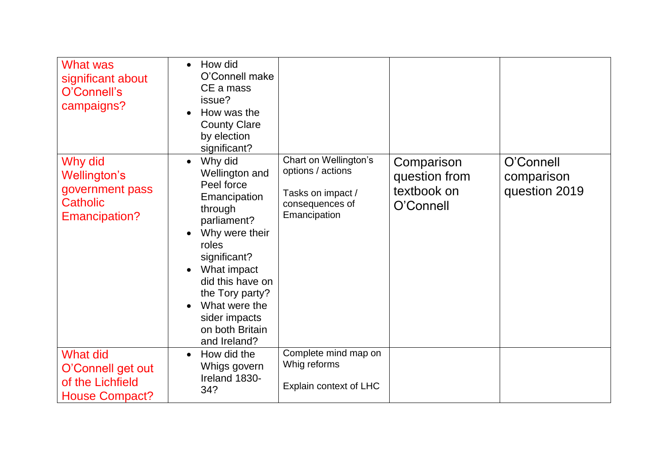| <b>What was</b><br>significant about<br>O'Connell's<br>campaigns?                 | How did<br>$\bullet$<br>O'Connell make<br>CE a mass<br>issue?<br>How was the<br><b>County Clare</b><br>by election<br>significant?                                                                                                                                   |                                                                                                    |                                                         |                                          |
|-----------------------------------------------------------------------------------|----------------------------------------------------------------------------------------------------------------------------------------------------------------------------------------------------------------------------------------------------------------------|----------------------------------------------------------------------------------------------------|---------------------------------------------------------|------------------------------------------|
| Why did<br>Wellington's<br>government pass<br><b>Catholic</b><br>Emancipation?    | Why did<br>$\bullet$<br>Wellington and<br>Peel force<br>Emancipation<br>through<br>parliament?<br>Why were their<br>roles<br>significant?<br>What impact<br>did this have on<br>the Tory party?<br>What were the<br>sider impacts<br>on both Britain<br>and Ireland? | Chart on Wellington's<br>options / actions<br>Tasks on impact /<br>consequences of<br>Emancipation | Comparison<br>question from<br>textbook on<br>O'Connell | O'Connell<br>comparison<br>question 2019 |
| <b>What did</b><br>O'Connell get out<br>of the Lichfield<br><b>House Compact?</b> | How did the<br>Whigs govern<br>Ireland 1830-<br>34?                                                                                                                                                                                                                  | Complete mind map on<br>Whig reforms<br>Explain context of LHC                                     |                                                         |                                          |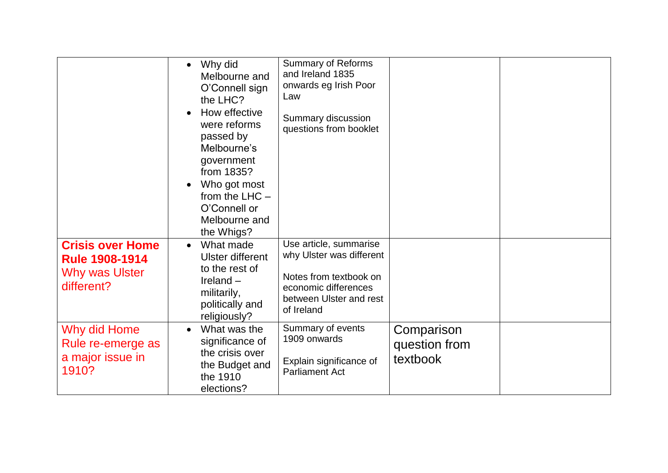|                                                                                  | Why did<br>Melbourne and<br>O'Connell sign<br>the LHC?<br>How effective<br>were reforms<br>passed by<br>Melbourne's<br>government<br>from 1835?<br>Who got most<br>from the $LHC -$<br>O'Connell or<br>Melbourne and<br>the Whigs? | <b>Summary of Reforms</b><br>and Ireland 1835<br>onwards eg Irish Poor<br>Law<br>Summary discussion<br>questions from booklet                 |                                         |  |
|----------------------------------------------------------------------------------|------------------------------------------------------------------------------------------------------------------------------------------------------------------------------------------------------------------------------------|-----------------------------------------------------------------------------------------------------------------------------------------------|-----------------------------------------|--|
| <b>Crisis over Home</b><br><b>Rule 1908-1914</b><br>Why was Ulster<br>different? | What made<br>$\bullet$<br><b>Ulster different</b><br>to the rest of<br>Ireland $-$<br>militarily,<br>politically and<br>religiously?                                                                                               | Use article, summarise<br>why Ulster was different<br>Notes from textbook on<br>economic differences<br>between Ulster and rest<br>of Ireland |                                         |  |
| Why did Home<br>Rule re-emerge as<br>a major issue in<br>1910?                   | What was the<br>significance of<br>the crisis over<br>the Budget and<br>the 1910<br>elections?                                                                                                                                     | Summary of events<br>1909 onwards<br>Explain significance of<br><b>Parliament Act</b>                                                         | Comparison<br>question from<br>textbook |  |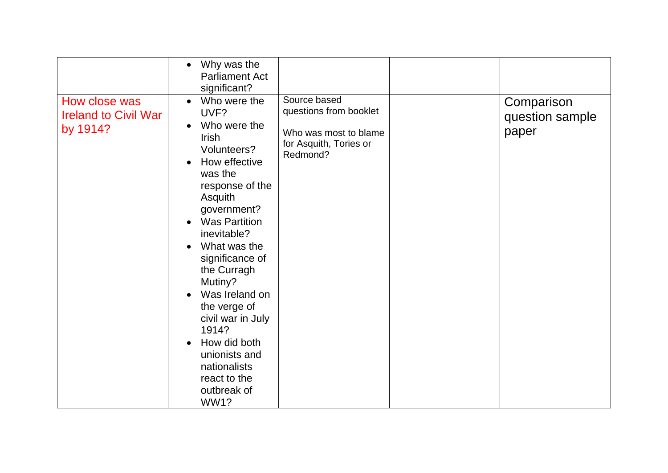|                                                          | Why was the<br>$\bullet$<br><b>Parliament Act</b><br>significant?                                                                                                                                                                                                                                                                                                                                                                                                                |                                                                                                       |                                        |
|----------------------------------------------------------|----------------------------------------------------------------------------------------------------------------------------------------------------------------------------------------------------------------------------------------------------------------------------------------------------------------------------------------------------------------------------------------------------------------------------------------------------------------------------------|-------------------------------------------------------------------------------------------------------|----------------------------------------|
| How close was<br><b>Ireland to Civil War</b><br>by 1914? | Who were the<br>$\bullet$<br>UVF?<br>Who were the<br>$\bullet$<br><b>Irish</b><br>Volunteers?<br>How effective<br>$\bullet$<br>was the<br>response of the<br>Asquith<br>government?<br><b>Was Partition</b><br>inevitable?<br>What was the<br>$\bullet$<br>significance of<br>the Curragh<br>Mutiny?<br>Was Ireland on<br>$\bullet$<br>the verge of<br>civil war in July<br>1914?<br>How did both<br>unionists and<br>nationalists<br>react to the<br>outbreak of<br><b>WW1?</b> | Source based<br>questions from booklet<br>Who was most to blame<br>for Asquith, Tories or<br>Redmond? | Comparison<br>question sample<br>paper |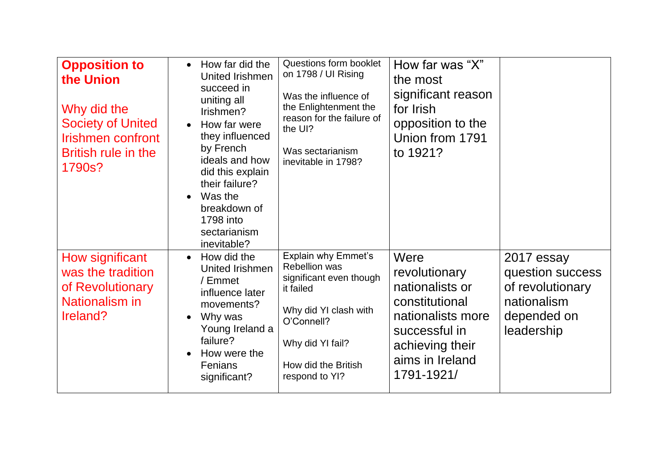| <b>Opposition to</b><br>the Union<br>Why did the<br><b>Society of United</b><br><b>Irishmen confront</b><br><b>British rule in the</b><br>1790s? | How far did the<br>$\bullet$<br>United Irishmen<br>succeed in<br>uniting all<br>Irishmen?<br>How far were<br>$\bullet$<br>they influenced<br>by French<br>ideals and how<br>did this explain<br>their failure?<br>Was the<br>$\bullet$<br>breakdown of<br>1798 into<br>sectarianism<br>inevitable? | Questions form booklet<br>on 1798 / UI Rising<br>Was the influence of<br>the Enlightenment the<br>reason for the failure of<br>the UI?<br>Was sectarianism<br>inevitable in 1798?              | How far was "X"<br>the most<br>significant reason<br>for Irish<br>opposition to the<br>Union from 1791<br>to 1921?                                   |                                                                                                |
|--------------------------------------------------------------------------------------------------------------------------------------------------|----------------------------------------------------------------------------------------------------------------------------------------------------------------------------------------------------------------------------------------------------------------------------------------------------|------------------------------------------------------------------------------------------------------------------------------------------------------------------------------------------------|------------------------------------------------------------------------------------------------------------------------------------------------------|------------------------------------------------------------------------------------------------|
| How significant<br>was the tradition<br>of Revolutionary<br>Nationalism in<br>Ireland?                                                           | How did the<br>$\bullet$<br>United Irishmen<br>/ Emmet<br>influence later<br>movements?<br>Why was<br>$\bullet$<br>Young Ireland a<br>failure?<br>How were the<br>Fenians<br>significant?                                                                                                          | <b>Explain why Emmet's</b><br><b>Rebellion was</b><br>significant even though<br>it failed<br>Why did YI clash with<br>O'Connell?<br>Why did YI fail?<br>How did the British<br>respond to YI? | Were<br>revolutionary<br>nationalists or<br>constitutional<br>nationalists more<br>successful in<br>achieving their<br>aims in Ireland<br>1791-1921/ | 2017 essay<br>question success<br>of revolutionary<br>nationalism<br>depended on<br>leadership |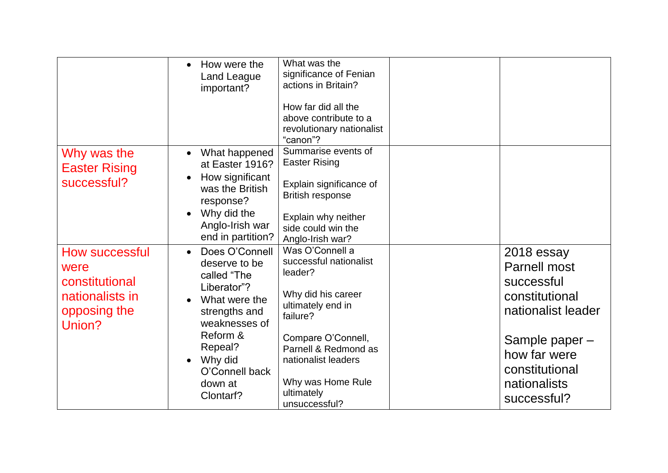|                                                                                       | How were the<br>Land League<br>important?                                                                                                  | What was the<br>significance of Fenian<br>actions in Britain?<br>How far did all the<br>above contribute to a<br>revolutionary nationalist<br>"canon"?             |                                                                                         |
|---------------------------------------------------------------------------------------|--------------------------------------------------------------------------------------------------------------------------------------------|--------------------------------------------------------------------------------------------------------------------------------------------------------------------|-----------------------------------------------------------------------------------------|
| Why was the<br><b>Easter Rising</b><br>successful?                                    | What happened<br>at Easter 1916?<br>How significant<br>was the British<br>response?<br>Why did the<br>Anglo-Irish war<br>end in partition? | Summarise events of<br><b>Easter Rising</b><br>Explain significance of<br><b>British response</b><br>Explain why neither<br>side could win the<br>Anglo-Irish war? |                                                                                         |
| How successful<br>were<br>constitutional<br>nationalists in<br>opposing the<br>Union? | Does O'Connell<br>deserve to be<br>called "The<br>Liberator"?<br>What were the<br>strengths and<br>weaknesses of<br>Reform &               | Was O'Connell a<br>successful nationalist<br>leader?<br>Why did his career<br>ultimately end in<br>failure?<br>Compare O'Connell,                                  | 2018 essay<br><b>Parnell most</b><br>successful<br>constitutional<br>nationalist leader |
|                                                                                       | Repeal?<br>Why did<br>O'Connell back<br>down at<br>Clontarf?                                                                               | Parnell & Redmond as<br>nationalist leaders<br>Why was Home Rule<br>ultimately<br>unsuccessful?                                                                    | Sample paper -<br>how far were<br>constitutional<br>nationalists<br>successful?         |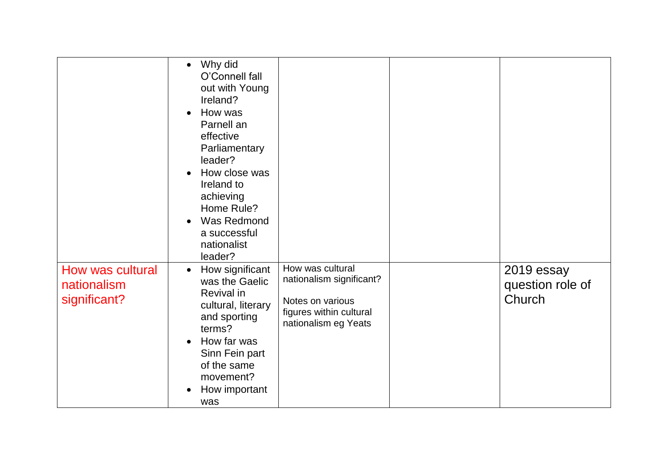|                                                 | Why did<br>$\bullet$<br>O'Connell fall<br>out with Young<br>Ireland?<br>How was<br>Parnell an<br>effective<br>Parliamentary<br>leader?<br>How close was<br>Ireland to<br>achieving<br>Home Rule?<br>Was Redmond<br>a successful<br>nationalist<br>leader? |                                                                                                                     |                                          |
|-------------------------------------------------|-----------------------------------------------------------------------------------------------------------------------------------------------------------------------------------------------------------------------------------------------------------|---------------------------------------------------------------------------------------------------------------------|------------------------------------------|
| How was cultural<br>nationalism<br>significant? | How significant<br>$\bullet$<br>was the Gaelic<br>Revival in<br>cultural, literary<br>and sporting<br>terms?<br>How far was<br>Sinn Fein part<br>of the same<br>movement?<br>How important<br>was                                                         | How was cultural<br>nationalism significant?<br>Notes on various<br>figures within cultural<br>nationalism eg Yeats | 2019 essay<br>question role of<br>Church |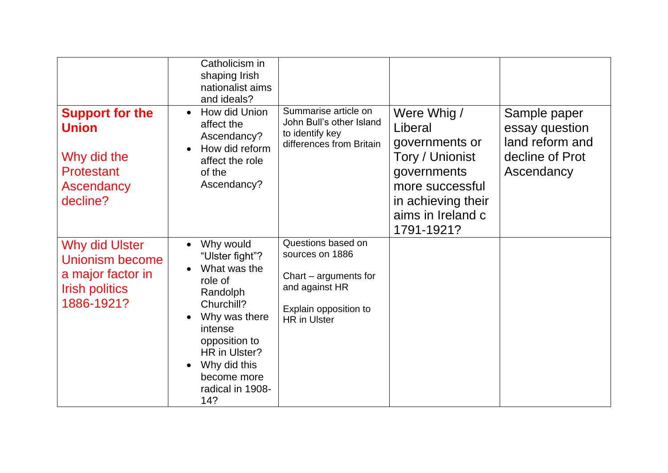|                                                                                                      | Catholicism in<br>shaping Irish<br>nationalist aims<br>and ideals?                                                                                                                                                     |                                                                                                                                  |                                                                                                                                                        |                                                                                    |
|------------------------------------------------------------------------------------------------------|------------------------------------------------------------------------------------------------------------------------------------------------------------------------------------------------------------------------|----------------------------------------------------------------------------------------------------------------------------------|--------------------------------------------------------------------------------------------------------------------------------------------------------|------------------------------------------------------------------------------------|
| <b>Support for the</b><br><b>Union</b><br>Why did the<br><b>Protestant</b><br>Ascendancy<br>decline? | How did Union<br>$\bullet$<br>affect the<br>Ascendancy?<br>How did reform<br>affect the role<br>of the<br>Ascendancy?                                                                                                  | Summarise article on<br>John Bull's other Island<br>to identify key<br>differences from Britain                                  | Were Whig /<br>Liberal<br>governments or<br>Tory / Unionist<br>governments<br>more successful<br>in achieving their<br>aims in Ireland c<br>1791-1921? | Sample paper<br>essay question<br>land reform and<br>decline of Prot<br>Ascendancy |
| Why did Ulster<br>Unionism become<br>a major factor in<br><b>Irish politics</b><br>1886-1921?        | Why would<br>"Ulster fight"?<br>What was the<br>role of<br>Randolph<br>Churchill?<br>Why was there<br>$\bullet$<br>intense<br>opposition to<br>HR in Ulster?<br>Why did this<br>become more<br>radical in 1908-<br>14? | Questions based on<br>sources on 1886<br>Chart – arguments for<br>and against HR<br>Explain opposition to<br><b>HR</b> in Ulster |                                                                                                                                                        |                                                                                    |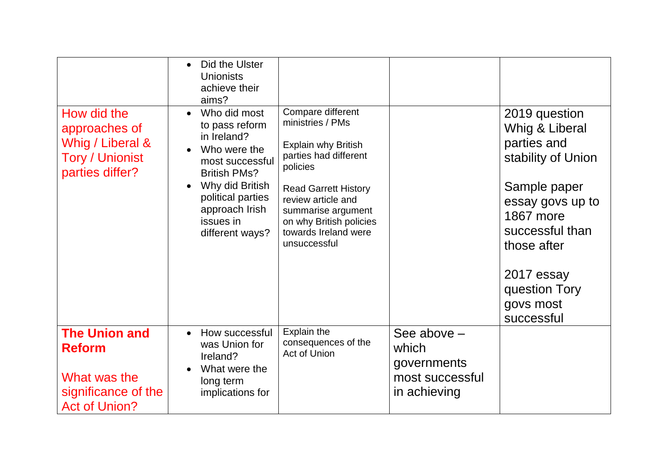|                                                                                                      | Did the Ulster<br>$\bullet$<br><b>Unionists</b><br>achieve their<br>aims?                                                                                                                                      |                                                                                                                                                                                                                                                        |                                                                          |                                                                                                                                                                                                                   |
|------------------------------------------------------------------------------------------------------|----------------------------------------------------------------------------------------------------------------------------------------------------------------------------------------------------------------|--------------------------------------------------------------------------------------------------------------------------------------------------------------------------------------------------------------------------------------------------------|--------------------------------------------------------------------------|-------------------------------------------------------------------------------------------------------------------------------------------------------------------------------------------------------------------|
| How did the<br>approaches of<br>Whig / Liberal &<br><b>Tory / Unionist</b><br>parties differ?        | Who did most<br>$\bullet$<br>to pass reform<br>in Ireland?<br>Who were the<br>most successful<br><b>British PMs?</b><br>Why did British<br>political parties<br>approach Irish<br>issues in<br>different ways? | Compare different<br>ministries / PMs<br><b>Explain why British</b><br>parties had different<br>policies<br><b>Read Garrett History</b><br>review article and<br>summarise argument<br>on why British policies<br>towards Ireland were<br>unsuccessful |                                                                          | 2019 question<br>Whig & Liberal<br>parties and<br>stability of Union<br>Sample paper<br>essay govs up to<br>1867 more<br>successful than<br>those after<br>2017 essay<br>question Tory<br>govs most<br>successful |
| <b>The Union and</b><br><b>Reform</b><br>What was the<br>significance of the<br><b>Act of Union?</b> | How successful<br>$\bullet$<br>was Union for<br>Ireland?<br>What were the<br>long term<br>implications for                                                                                                     | Explain the<br>consequences of the<br>Act of Union                                                                                                                                                                                                     | See above $-$<br>which<br>governments<br>most successful<br>in achieving |                                                                                                                                                                                                                   |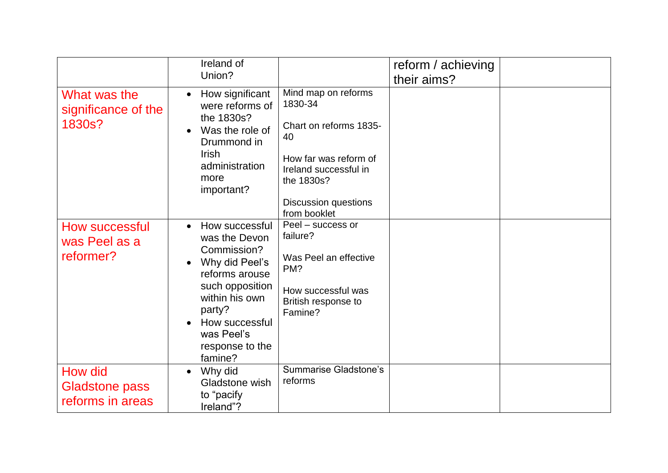|                                                      | Ireland of<br>Union?                                                                                                                                                                                         |                                                                                                                                                                               | reform / achieving<br>their aims? |  |
|------------------------------------------------------|--------------------------------------------------------------------------------------------------------------------------------------------------------------------------------------------------------------|-------------------------------------------------------------------------------------------------------------------------------------------------------------------------------|-----------------------------------|--|
| What was the<br>significance of the<br>1830s?        | How significant<br>$\bullet$<br>were reforms of<br>the 1830s?<br>Was the role of<br>$\bullet$<br>Drummond in<br><b>Irish</b><br>administration<br>more<br>important?                                         | Mind map on reforms<br>1830-34<br>Chart on reforms 1835-<br>40<br>How far was reform of<br>Ireland successful in<br>the 1830s?<br><b>Discussion questions</b><br>from booklet |                                   |  |
| How successful<br>was Peel as a<br>reformer?         | How successful<br>$\bullet$<br>was the Devon<br>Commission?<br>Why did Peel's<br>reforms arouse<br>such opposition<br>within his own<br>party?<br>How successful<br>was Peel's<br>response to the<br>famine? | Peel - success or<br>failure?<br>Was Peel an effective<br>PM?<br>How successful was<br>British response to<br>Famine?                                                         |                                   |  |
| How did<br><b>Gladstone pass</b><br>reforms in areas | Why did<br>$\bullet$<br>Gladstone wish<br>to "pacify<br>Ireland"?                                                                                                                                            | <b>Summarise Gladstone's</b><br>reforms                                                                                                                                       |                                   |  |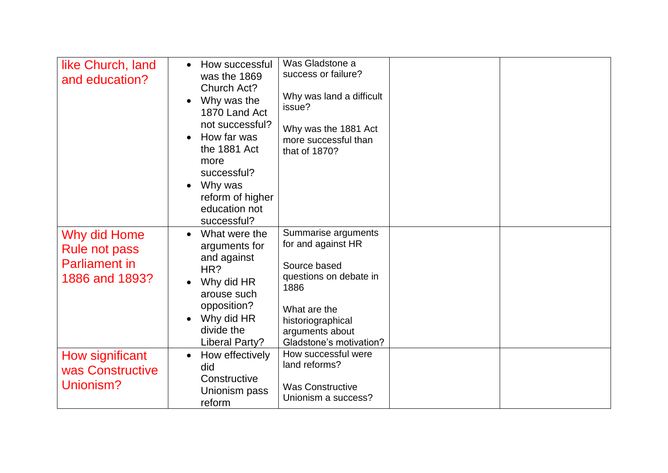| like Church, land<br>and education?                                            | How successful<br>was the 1869<br>Church Act?<br>Why was the<br>1870 Land Act<br>not successful?<br>How far was<br>the 1881 Act<br>more<br>successful?<br>Why was<br>reform of higher<br>education not<br>successful? | Was Gladstone a<br>success or failure?<br>Why was land a difficult<br>issue?<br>Why was the 1881 Act<br>more successful than<br>that of 1870?                                  |  |
|--------------------------------------------------------------------------------|-----------------------------------------------------------------------------------------------------------------------------------------------------------------------------------------------------------------------|--------------------------------------------------------------------------------------------------------------------------------------------------------------------------------|--|
| Why did Home<br><b>Rule not pass</b><br><b>Parliament in</b><br>1886 and 1893? | What were the<br>$\bullet$<br>arguments for<br>and against<br>HR?<br>Why did HR<br>arouse such<br>opposition?<br>Why did HR<br>divide the<br>Liberal Party?                                                           | Summarise arguments<br>for and against HR<br>Source based<br>questions on debate in<br>1886<br>What are the<br>historiographical<br>arguments about<br>Gladstone's motivation? |  |
| How significant<br>was Constructive<br>Unionism?                               | How effectively<br>did<br>Constructive<br>Unionism pass<br>reform                                                                                                                                                     | How successful were<br>land reforms?<br><b>Was Constructive</b><br>Unionism a success?                                                                                         |  |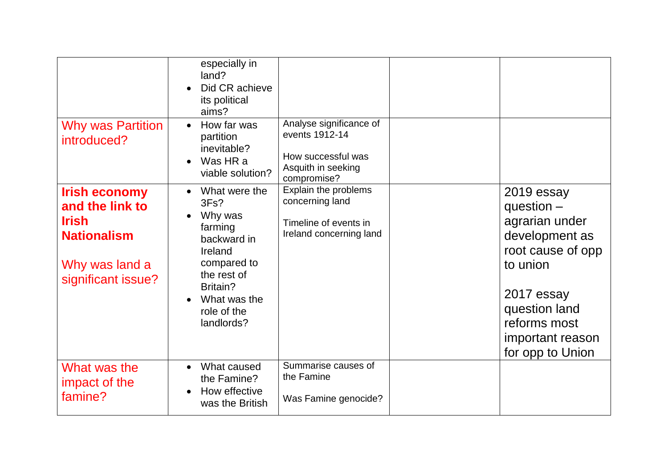| <b>Why was Partition</b><br>introduced?                                                                               | especially in<br>land?<br>Did CR achieve<br>its political<br>aims?<br>How far was<br>$\bullet$<br>partition<br>inevitable?<br>Was HR a<br>viable solution?   | Analyse significance of<br>events 1912-14<br>How successful was<br>Asquith in seeking<br>compromise? |                                                                                                                                                                                        |
|-----------------------------------------------------------------------------------------------------------------------|--------------------------------------------------------------------------------------------------------------------------------------------------------------|------------------------------------------------------------------------------------------------------|----------------------------------------------------------------------------------------------------------------------------------------------------------------------------------------|
| <b>Irish economy</b><br>and the link to<br><b>Irish</b><br><b>Nationalism</b><br>Why was land a<br>significant issue? | What were the<br>3Fs?<br>Why was<br>farming<br>backward in<br>Ireland<br>compared to<br>the rest of<br>Britain?<br>What was the<br>role of the<br>landlords? | Explain the problems<br>concerning land<br>Timeline of events in<br>Ireland concerning land          | 2019 essay<br>question $-$<br>agrarian under<br>development as<br>root cause of opp<br>to union<br>2017 essay<br>question land<br>reforms most<br>important reason<br>for opp to Union |
| What was the<br>impact of the<br>famine?                                                                              | What caused<br>$\bullet$<br>the Famine?<br>How effective<br>was the British                                                                                  | Summarise causes of<br>the Famine<br>Was Famine genocide?                                            |                                                                                                                                                                                        |